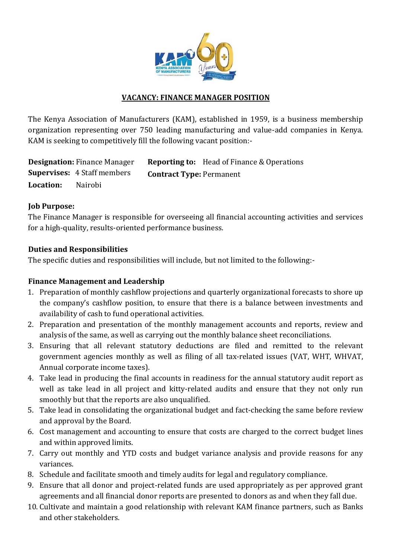

#### **VACANCY: FINANCE MANAGER POSITION**

The Kenya Association of Manufacturers (KAM), established in 1959, is a business membership organization representing over 750 leading manufacturing and value-add companies in Kenya. KAM is seeking to competitively fill the following vacant position:-

**Designation:** Finance Manager **Reporting to:** Head of Finance & Operations **Supervises:** 4 Staff members **Contract Type:** Permanent **Location:** Nairobi

#### **Job Purpose:**

The Finance Manager is responsible for overseeing all financial accounting activities and services for a high-quality, results-oriented performance business.

### **Duties and Responsibilities**

The specific duties and responsibilities will include, but not limited to the following:-

#### **Finance Management and Leadership**

- 1. Preparation of monthly cashflow projections and quarterly organizational forecasts to shore up the company's cashflow position, to ensure that there is a balance between investments and availability of cash to fund operational activities.
- 2. Preparation and presentation of the monthly management accounts and reports, review and analysis of the same, as well as carrying out the monthly balance sheet reconciliations.
- 3. Ensuring that all relevant statutory deductions are filed and remitted to the relevant government agencies monthly as well as filing of all tax-related issues (VAT, WHT, WHVAT, Annual corporate income taxes).
- 4. Take lead in producing the final accounts in readiness for the annual statutory audit report as well as take lead in all project and kitty-related audits and ensure that they not only run smoothly but that the reports are also unqualified.
- 5. Take lead in consolidating the organizational budget and fact-checking the same before review and approval by the Board.
- 6. Cost management and accounting to ensure that costs are charged to the correct budget lines and within approved limits.
- 7. Carry out monthly and YTD costs and budget variance analysis and provide reasons for any variances.
- 8. Schedule and facilitate smooth and timely audits for legal and regulatory compliance.
- 9. Ensure that all donor and project-related funds are used appropriately as per approved grant agreements and all financial donor reports are presented to donors as and when they fall due.
- 10. Cultivate and maintain a good relationship with relevant KAM finance partners, such as Banks and other stakeholders.